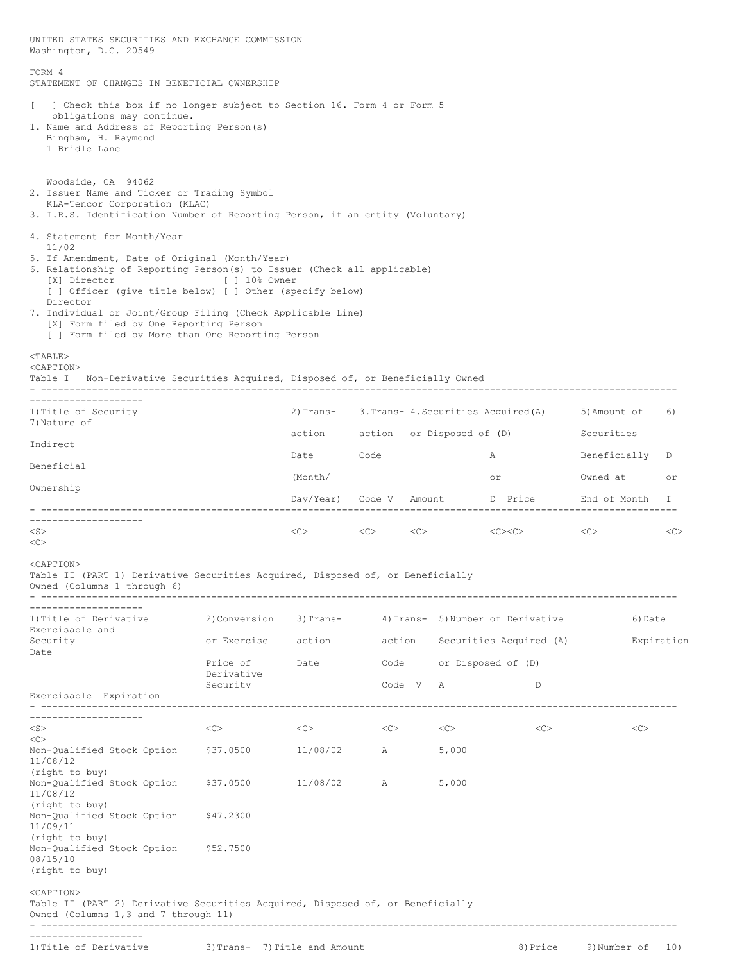| UNITED STATES SECURITIES AND EXCHANGE COMMISSION<br>Washington, D.C. 20549                                                                                                                                                                                                                                                                                                       |                               |          |                                                |  |                         |                           |              |     |
|----------------------------------------------------------------------------------------------------------------------------------------------------------------------------------------------------------------------------------------------------------------------------------------------------------------------------------------------------------------------------------|-------------------------------|----------|------------------------------------------------|--|-------------------------|---------------------------|--------------|-----|
| FORM 4<br>STATEMENT OF CHANGES IN BENEFICIAL OWNERSHIP                                                                                                                                                                                                                                                                                                                           |                               |          |                                                |  |                         |                           |              |     |
| ] Check this box if no longer subject to Section 16. Form 4 or Form 5<br>f.<br>obligations may continue.<br>1. Name and Address of Reporting Person(s)<br>Bingham, H. Raymond<br>1 Bridle Lane                                                                                                                                                                                   |                               |          |                                                |  |                         |                           |              |     |
| Woodside, CA 94062<br>2. Issuer Name and Ticker or Trading Symbol<br>KLA-Tencor Corporation (KLAC)<br>3. I.R.S. Identification Number of Reporting Person, if an entity (Voluntary)                                                                                                                                                                                              |                               |          |                                                |  |                         |                           |              |     |
| 4. Statement for Month/Year<br>11/02<br>5. If Amendment, Date of Original (Month/Year)<br>6. Relationship of Reporting Person(s) to Issuer (Check all applicable)<br>[X] Director [ ] 10% Owner<br>[ ] Officer (give title below) [ ] Other (specify below)<br>Director<br>7. Individual or Joint/Group Filing (Check Applicable Line)<br>[X] Form filed by One Reporting Person |                               |          |                                                |  |                         |                           |              |     |
| [ ] Form filed by More than One Reporting Person<br>$<$ TABLE><br><caption><br/>Table I Non-Derivative Securities Acquired, Disposed of, or Beneficially Owned</caption>                                                                                                                                                                                                         |                               |          |                                                |  |                         |                           |              |     |
| ---------------------                                                                                                                                                                                                                                                                                                                                                            |                               |          |                                                |  |                         |                           | 5)Amount of  | 6)  |
| 1) Title of Security<br>7) Nature of                                                                                                                                                                                                                                                                                                                                             |                               |          | 2) Trans- 3. Trans- 4. Securities Acquired (A) |  |                         |                           | Securities   |     |
| Indirect                                                                                                                                                                                                                                                                                                                                                                         |                               | Date     | action action or Disposed of (D)<br>Code<br>A  |  |                         | Beneficially              | D            |     |
| Beneficial                                                                                                                                                                                                                                                                                                                                                                       |                               | (Month/  |                                                |  |                         | or                        | Owned at     | or  |
| Ownership                                                                                                                                                                                                                                                                                                                                                                        |                               |          | Day/Year) Code V Amount D Price End of Month   |  |                         | I.                        |              |     |
| --------------------                                                                                                                                                                                                                                                                                                                                                             |                               |          |                                                |  |                         |                           |              |     |
| $<$ S $>$<br><<>                                                                                                                                                                                                                                                                                                                                                                 |                               | $<<$ $>$ | $\langle C \rangle$ $\langle C \rangle$        |  |                         | $\langle$ C> $\langle$ C> | $<<$ $<$ $>$ | <<  |
| <caption><br/>Table II (PART 1) Derivative Securities Acquired, Disposed of, or Beneficially<br/>Owned (Columns 1 through 6)</caption>                                                                                                                                                                                                                                           |                               |          |                                                |  |                         |                           |              |     |
| 1) Title of Derivative                                                                                                                                                                                                                                                                                                                                                           | 2) Conversion                 |          | 3) Trans-<br>4) Trans- 5) Number of Derivative |  |                         | 6) Date                   |              |     |
| Exercisable and<br>Security                                                                                                                                                                                                                                                                                                                                                      | or Exercise                   | action   | action                                         |  | Securities Acquired (A) |                           | Expiration   |     |
| Date                                                                                                                                                                                                                                                                                                                                                                             | Price of                      | Date     | Code<br>Code V                                 |  |                         | or Disposed of (D)        |              |     |
|                                                                                                                                                                                                                                                                                                                                                                                  | Derivative<br>Security        |          |                                                |  | A<br>D                  |                           |              |     |
| Exercisable Expiration                                                                                                                                                                                                                                                                                                                                                           |                               |          |                                                |  |                         |                           |              |     |
| ----------------<br>$<$ S $>$                                                                                                                                                                                                                                                                                                                                                    | <<>                           | <<>      | <<>                                            |  | <<>                     | <<>                       | <<           |     |
| <<><br>Non-Qualified Stock Option<br>11/08/12                                                                                                                                                                                                                                                                                                                                    | \$37.0500                     | 11/08/02 | A                                              |  | 5,000                   |                           |              |     |
| (right to buy)<br>Non-Qualified Stock Option<br>11/08/12                                                                                                                                                                                                                                                                                                                         | \$37.0500                     | 11/08/02 | A                                              |  | 5,000                   |                           |              |     |
| (right to buy)<br>Non-Qualified Stock Option<br>11/09/11                                                                                                                                                                                                                                                                                                                         | \$47.2300                     |          |                                                |  |                         |                           |              |     |
| (right to buy)<br>Non-Qualified Stock Option<br>08/15/10<br>(right to buy)                                                                                                                                                                                                                                                                                                       | \$52.7500                     |          |                                                |  |                         |                           |              |     |
| <caption><br/>Table II (PART 2) Derivative Securities Acquired, Disposed of, or Beneficially<br/>Owned (Columns 1,3 and 7 through 11)</caption>                                                                                                                                                                                                                                  |                               |          |                                                |  |                         |                           |              |     |
| 1) Title of Derivative                                                                                                                                                                                                                                                                                                                                                           | 3) Trans- 7) Title and Amount |          |                                                |  |                         | 8) Price                  | 9)Number of  | 10) |